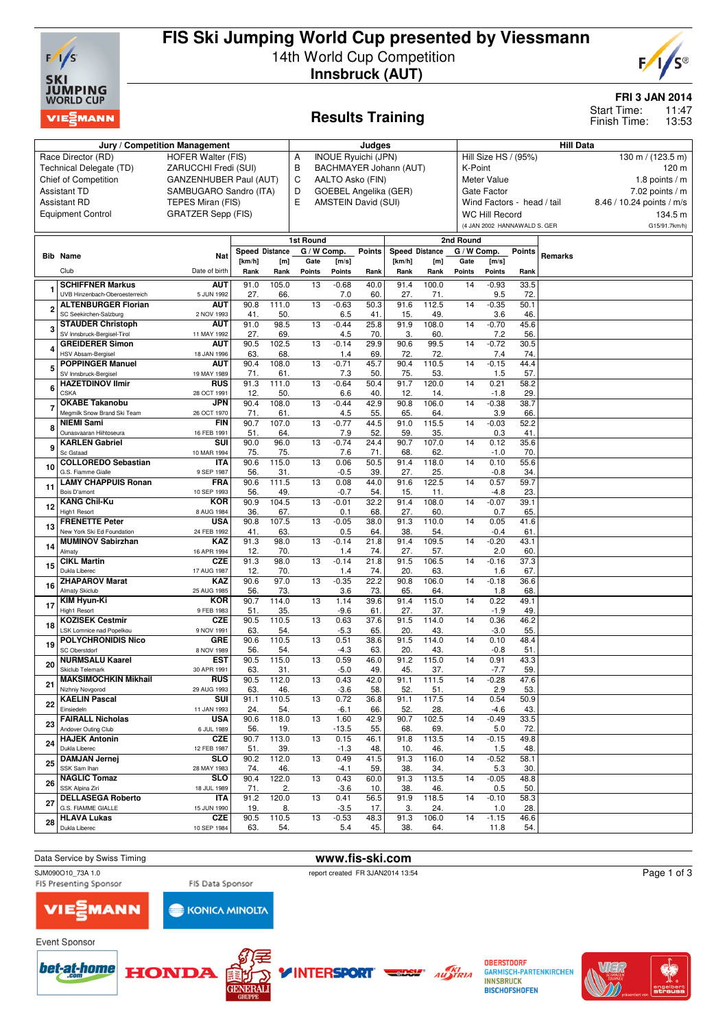

# **FIS Ski Jumping World Cup presented by Viessmann** 14th World Cup Competition **Innsbruck (AUT)**



## **Results Training**

**FRI 3 JAN 2014**

11:47 13:53 Start Time: Finish Time:

|                | Jury / Competition Management                       | Judges                          |                                 |              |                          |                                      |                     | <b>Hill Data</b>                          |              |                     |                              |             |         |                           |
|----------------|-----------------------------------------------------|---------------------------------|---------------------------------|--------------|--------------------------|--------------------------------------|---------------------|-------------------------------------------|--------------|---------------------|------------------------------|-------------|---------|---------------------------|
|                | Race Director (RD)                                  | <b>INOUE Ryuichi (JPN)</b><br>Α |                                 |              |                          |                                      |                     | Hill Size HS / (95%)<br>130 m / (123.5 m) |              |                     |                              |             |         |                           |
|                | Technical Delegate (TD)                             | B                               |                                 |              | BACHMAYER Johann (AUT)   |                                      |                     | 120 m<br>K-Point                          |              |                     |                              |             |         |                           |
|                | Chief of Competition                                | <b>GANZENHUBER Paul (AUT)</b>   |                                 |              | C                        |                                      | AALTO Asko (FIN)    |                                           |              |                     | Meter Value                  |             |         | 1.8 points $/m$           |
|                | <b>Assistant TD</b>                                 | SAMBUGARO Sandro (ITA)          |                                 |              | D                        | GOEBEL Angelika (GER)<br>Gate Factor |                     |                                           |              |                     |                              |             |         | 7.02 points $/m$          |
|                | <b>Assistant RD</b>                                 | TEPES Miran (FIS)               |                                 |              | E                        |                                      | AMSTEIN David (SUI) |                                           |              |                     | Wind Factors - head / tail   |             |         | 8.46 / 10.24 points / m/s |
|                | <b>Equipment Control</b>                            | <b>GRATZER Sepp (FIS)</b>       |                                 |              |                          |                                      |                     |                                           |              |                     | WC Hill Record               |             |         | 134.5 m                   |
|                |                                                     |                                 |                                 |              |                          |                                      |                     |                                           |              |                     | (4 JAN 2002 HANNAWALD S. GER |             |         | G15/91.7km/h)             |
|                |                                                     |                                 |                                 |              |                          |                                      |                     |                                           |              |                     |                              |             |         |                           |
|                |                                                     |                                 |                                 |              | 1st Round<br>G / W Comp. |                                      | <b>Points</b>       |                                           |              | 2nd Round           |                              |             |         |                           |
|                | <b>Bib Name</b>                                     | Nat                             | <b>Speed Distance</b><br>[km/h] | [m]          | Gate                     | [m/s]                                |                     | <b>Speed Distance</b><br>[km/h]           | [m]          | G / W Comp.<br>Gate | [m/s]                        | Points      | Remarks |                           |
|                | Club                                                | Date of birth                   | Rank                            | Rank         | Points                   | <b>Points</b>                        | Rank                | Rank                                      | Rank         | Points              | Points                       | Rank        |         |                           |
|                | <b>SCHIFFNER Markus</b>                             | <b>AUT</b>                      | 91.0                            | 105.0        | 13                       | $-0.68$                              | 40.0                | 91.4                                      | 100.0        | 14                  | $-0.93$                      | 33.5        |         |                           |
|                | UVB Hinzenbach-Oberoesterreich                      | 5 JUN 1992                      | 27.                             | 66.          |                          | 7.0                                  | 60.                 | 27.                                       | 71.          |                     | 9.5                          | 72          |         |                           |
|                | <b>ALTENBURGER Florian</b>                          | AUT                             | 90.8                            | 111.0        | 13                       | $-0.63$                              | 50.3                | 91.6                                      | 112.5        | 14                  | $-0.35$                      | 50.1        |         |                           |
| $\overline{2}$ | SC Seekirchen-Salzburg                              | 2 NOV 1993                      | 41.                             | 50.          |                          | 6.5                                  | 41.                 | 15.                                       | 49.          |                     | 3.6                          | 46          |         |                           |
| 3              | <b>STAUDER Christoph</b>                            | AUT                             | 91.0                            | 98.5         | 13                       | $-0.44$                              | 25.8                | 91.9                                      | 108.0        | 14                  | $-0.70$                      | 45.6        |         |                           |
|                | SV Innsbruck-Bergisel-Tirol                         | 11 MAY 1992                     | 27.                             | 69.          |                          | 4.5                                  | 70.                 | 3.                                        | 60.          |                     | 7.2                          | 56          |         |                           |
| 4              | <b>GREIDERER Simon</b><br><b>HSV Absam-Bergisel</b> | <b>AUT</b><br>18 JAN 1996       | 90.5<br>63.                     | 102.5<br>68. | 13                       | $-0.14$<br>1.4                       | 29.9<br>69          | 90.6<br>72.                               | 99.5<br>72.  | 14                  | $-0.72$<br>7.4               | 30.5<br>74  |         |                           |
|                | <b>POPPINGER Manuel</b>                             | aut                             | 90.4                            | 108.0        | 13                       | $-0.71$                              | 45.7                | 90.4                                      | 110.5        | 14                  | $-0.15$                      | 44.4        |         |                           |
| 5              | SV Innsbruck-Bergisel                               | 19 MAY 1989                     | 71.                             | 61           |                          | 7.3                                  | 50.                 | 75.                                       | 53.          |                     | 1.5                          | 57          |         |                           |
| 6              | <b>HAZETDINOV Ilmir</b>                             | <b>RUS</b>                      | 91.3                            | 111.0        | 13                       | $-0.64$                              | 50.4                | 91.7                                      | 120.0        | 14                  | 0.21                         | 58.2        |         |                           |
|                | <b>CSKA</b>                                         | 28 OCT 1991                     | 12.                             | 50.          |                          | 6.6                                  | 40.                 | 12.                                       | 14.          |                     | $-1.8$                       | 29          |         |                           |
| 7              | <b>OKABE Takanobu</b>                               | JPN                             | 90.4                            | 108.0        | 13                       | $-0.44$                              | 42.9                | 90.8                                      | 106.0        | 14                  | $-0.38$                      | 38.7        |         |                           |
|                | Megmilk Snow Brand Ski Team<br><b>NIEMI Sami</b>    | 26 OCT 1970<br><b>FIN</b>       | 71.<br>90.7                     | 61.<br>107.0 | 13                       | 4.5<br>$-0.77$                       | 55.<br>44.5         | 65.<br>91.0                               | 64.<br>115.5 | 14                  | 3.9<br>$-0.03$               | 66<br>52.2  |         |                           |
| 8              | Ounasvaaran Hiihtoseura                             | 16 FEB 1991                     | 51.                             | 64.          |                          | 7.9                                  | 52.                 | 59.                                       | 35.          |                     | 0.3                          | 41          |         |                           |
| 9              | <b>KARLEN Gabriel</b>                               | <b>SUI</b>                      | 90.0                            | 96.0         | 13                       | $-0.74$                              | 24.4                | 90.7                                      | 107.0        | 14                  | 0.12                         | 35.6        |         |                           |
|                | Sc Gstaad                                           | 10 MAR 1994                     | 75.                             | 75.          |                          | 7.6                                  | 71                  | 68.                                       | 62.          |                     | $-1.0$                       | 70          |         |                           |
| 10             | <b>COLLOREDO Sebastian</b><br>G.S. Fiamme Gialle    | <b>ITA</b>                      | 90.6                            | 115.0        | 13                       | 0.06                                 | 50.5<br>39          | 91.4                                      | 118.0        | 14                  | 0.10                         | 55.6        |         |                           |
|                | <b>LAMY CHAPPUIS Ronan</b>                          | 9 SEP 1987<br><b>FRA</b>        | 56.<br>90.6                     | 31.<br>111.5 | 13                       | $-0.5$<br>0.08                       | 44.0                | 27.<br>91.6                               | 25.<br>122.5 | 14                  | $-0.8$<br>0.57               | 34<br>59.7  |         |                           |
| 11             | Bois D'amont                                        | 10 SEP 1993                     | 56.                             | 49.          |                          | $-0.7$                               | 54.                 | 15.                                       | 11.          |                     | $-4.8$                       | 23.         |         |                           |
| 12             | <b>KANG Chil-Ku</b>                                 | KOR                             | 90.9                            | 104.5        | 13                       | $-0.01$                              | 32.2                | 91.4                                      | 108.0        | 14                  | $-0.07$                      | 39.1        |         |                           |
|                | High1 Resort                                        | 8 AUG 1984                      | 36.                             | 67.          |                          | 0.1                                  | 68                  | 27.                                       | 60.          |                     | 0.7                          | 65          |         |                           |
| 13             | <b>FRENETTE Peter</b><br>New York Ski Ed Foundation | <b>USA</b><br>24 FEB 1992       | 90.8<br>41.                     | 107.5<br>63. | 13                       | $-0.05$<br>0.5                       | 38.0<br>64.         | 91.3<br>38.                               | 110.0<br>54. | 14                  | 0.05<br>$-0.4$               | 41.6<br>61  |         |                           |
|                | <b>MUMINOV Sabirzhan</b>                            | <b>KAZ</b>                      | 91.3                            | 98.0         | 13                       | $-0.14$                              | 21.8                | 91.4                                      | 109.5        | 14                  | $-0.20$                      | 43.1        |         |                           |
| 14             | Almaty                                              | 16 APR 1994                     | 12.                             | 70.          |                          | 1.4                                  | 74.                 | 27.                                       | 57.          |                     | 2.0                          | 60          |         |                           |
| 15             | <b>CIKL Martin</b>                                  | <b>CZE</b>                      | 91.3                            | 98.0         | 13                       | $-0.14$                              | 21.8                | 91.5                                      | 106.5        | 14                  | $-0.16$                      | 37.3        |         |                           |
|                | Dukla Liberec<br><b>ZHAPAROV Marat</b>              | 17 AUG 1987<br>KAZ              | 12.<br>90.6                     | 70.<br>97.0  | 13                       | 1.4<br>$-0.35$                       | 74.<br>22.2         | 20.<br>90.8                               | 63.<br>106.0 | 14                  | 1.6<br>$-0.18$               | 67.<br>36.6 |         |                           |
| 16             | <b>Almaty Skiclub</b>                               | 25 AUG 1985                     | 56.                             | 73.          |                          | 3.6                                  | 73.                 | 65.                                       | 64.          |                     | 1.8                          | 68          |         |                           |
|                | KIM Hyun-Ki                                         | <b>KOR</b>                      | 90.7                            | 114.0        | 13                       | 1.14                                 | 39.6                | 91.4                                      | 115.0        | 14                  | 0.22                         | 49.1        |         |                           |
| 17             | <b>High1 Resort</b>                                 | 9 FEB 1983                      | 51.                             | 35.          |                          | $-9.6$                               | 61                  | 27.                                       | 37.          |                     | $-1.9$                       | 49          |         |                           |
| 18             | <b>KOZISEK Cestmir</b><br>LSK Lomnice nad Popelkou  | <b>CZE</b>                      | 90.5                            | 110.5        | 13                       | 0.63                                 | 37.6                | 91.5                                      | 114.0        | 14                  | 0.36                         | 46.2        |         |                           |
|                | <b>POLYCHRONIDIS Nico</b>                           | 9 NOV 1991<br>GRE               | 63.<br>90.6                     | 54.<br>110.5 | 13                       | $-5.3$<br>0.51                       | 65.<br>38.6         | 20.<br>91.5                               | 43.<br>114.0 | 14                  | $-3.0$<br>0.10               | 55.<br>48.4 |         |                           |
| 19             | <b>SC Oberstdorf</b>                                | 8 NOV 1989                      | 56.                             | 54.          |                          | $-4.3$                               | 63.                 | 20.                                       | 43.          |                     | $-0.8$                       | 51          |         |                           |
| 20             | <b>NURMSALU Kaarel</b>                              | <b>EST</b>                      | 90.5                            | 115.0        | 13                       | 0.59                                 | 46.0                | 91.2                                      | 115.0        | 14                  | 0.91                         | 43.3        |         |                           |
|                | Skiclub Telemark                                    | 30 APR 1991                     | 63.                             | 31.          |                          | $-5.0$                               | 49.                 | 45.                                       | 37.          |                     | $-7.7$                       | 59          |         |                           |
| 21             | <b>MAKSIMOCHKIN Mikhail</b><br>Nizhniy Novgorod     | <b>RUS</b><br>29 AUG 1993       | 90.5<br>63.                     | 112.0<br>46. | 13                       | 0.43<br>-3.6                         | 42.0<br>58.         | 91.1<br>52.                               | 111.5<br>51. | 14                  | $-0.28$<br>2.9               | 47.6<br>53. |         |                           |
|                | <b>KAELIN Pascal</b>                                | SUI                             | 91.1                            | 110.5        | 13                       | 0.72                                 | 36.8                | 91.1                                      | 117.5        | 14                  | 0.54                         | 50.9        |         |                           |
| 22             | Einsiedeln                                          | 11 JAN 1993                     | 24.                             | 54.          |                          | $-6.1$                               | 66.                 | 52.                                       | 28.          |                     | $-4.6$                       | 43.         |         |                           |
| 23             | <b>FAIRALL Nicholas</b>                             | <b>USA</b>                      | 90.6                            | 118.0        | 13                       | 1.60                                 | 42.9                | 90.7                                      | 102.5        | 14                  | $-0.49$                      | 33.5        |         |                           |
|                | Andover Outing Club<br><b>HAJEK Antonin</b>         | 6 JUL 1989<br><b>CZE</b>        | 56.<br>90.7                     | 19.<br>113.0 | 13                       | $-13.5$                              | 55.<br>46.1         | 68.<br>91.8                               | 69.          |                     | 5.0<br>$-0.15$               | 72.<br>49.8 |         |                           |
| 24             | Dukla Liberec                                       | 12 FEB 1987                     | 51.                             | 39.          |                          | 0.15<br>$-1.3$                       | 48.                 | 10.                                       | 113.5<br>46. | 14                  | 1.5                          | 48.         |         |                           |
|                | <b>DAMJAN Jernej</b>                                | SLO                             | 90.2                            | 112.0        | 13                       | 0.49                                 | 41.5                | 91.3                                      | 116.0        | 14                  | $-0.52$                      | 58.1        |         |                           |
| 25             | SSK Sam Ihan                                        | 28 MAY 1983                     | 74.                             | 46.          |                          | $-4.1$                               | 59.                 | 38.                                       | 34.          |                     | 5.3                          | 30.         |         |                           |
| 26             | <b>NAGLIC Tomaz</b><br>SSK Alpina Ziri              | SLO                             | 90.4                            | 122.0        | 13                       | 0.43                                 | 60.0                | 91.3                                      | 113.5        | 14                  | $-0.05$                      | 48.8        |         |                           |
|                | <b>DELLASEGA Roberto</b>                            | 18 JUL 1989<br>ITA              | 71.<br>91.2                     | 2.<br>120.0  | 13                       | $-3.6$<br>0.41                       | 10.<br>56.5         | 38.<br>91.9                               | 46.<br>118.5 | 14                  | 0.5<br>$-0.10$               | 50.<br>58.3 |         |                           |
| 27             | G.S. FIAMME GIALLE                                  | 15 JUN 1990                     | 19.                             | 8.           |                          | $-3.5$                               | 17.                 | 3.                                        | 24.          |                     | 1.0                          | 28.         |         |                           |
| 28             | <b>HLAVA Lukas</b>                                  | <b>CZE</b>                      | 90.5                            | 110.5        | 13                       | $-0.53$                              | 48.3                | 91.3                                      | 106.0        | 14                  | $-1.15$                      | 46.6        |         |                           |
|                | Dukla Liberec                                       | 10 SEP 1984                     | 63.                             | 54.          |                          | 5.4                                  | 45.                 | 38.                                       | 64.          |                     | 11.8                         | 54.         |         |                           |

Data Service by Swiss Timing **www.fis-ski.com**<br>
SJM090010\_73A 1.0

SJM090O10\_73A 1.0 report created FR 3JAN2014 13:54<br>FIS Presenting Sponsor FIS Data Sponsor FIS Presenting Sponsor FIS Data Sponsor

Page 1 of 3



Event Sponsor





**KONICA MINOLTA** 



**OBERSTDORF GARMISCH-PARTENKIRCHEN INNSBRUCK BISCHOFSHOFEN** 

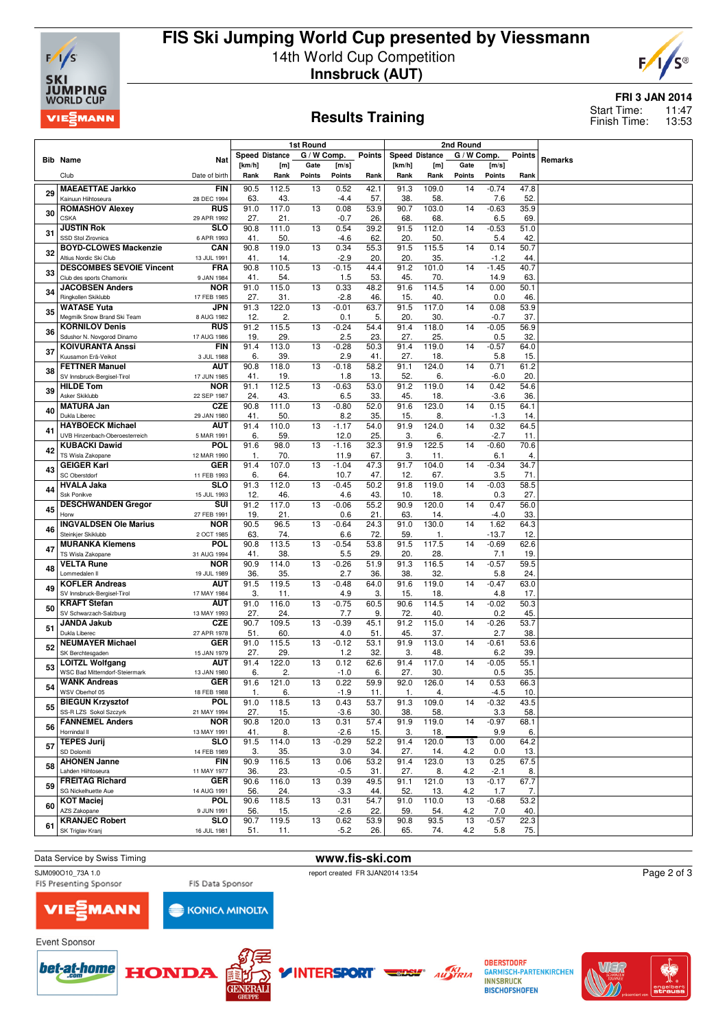

# **FIS Ski Jumping World Cup presented by Viessmann** 14th World Cup Competition **Innsbruck (AUT)**



### **Results Training**

### **FRI 3 JAN 2014**

11:47 13:53 Start Time: Finish Time:

|    |                                                             |                           | 1st Round   |                       |                 |                   | 2nd Round   |                       |              |             |                 |               |         |
|----|-------------------------------------------------------------|---------------------------|-------------|-----------------------|-----------------|-------------------|-------------|-----------------------|--------------|-------------|-----------------|---------------|---------|
|    | <b>Bib Name</b>                                             | <b>Nat</b>                |             | <b>Speed Distance</b> | G / W Comp.     |                   | Points      | <b>Speed Distance</b> |              | G / W Comp. |                 | <b>Points</b> | Remarks |
|    |                                                             |                           | [km/h]      | [m]                   | Gate            | [m/s]             |             | [km/h]                | [m]          | Gate        | [m/s]           |               |         |
|    | Club                                                        | Date of birth             | Rank        | Rank                  | Points          | <b>Points</b>     | Rank        | Rank                  | Rank         | Points      | <b>Points</b>   | Rank          |         |
| 29 | <b>MAEAETTAE Jarkko</b>                                     | <b>FIN</b>                | 90.5        | 112.5                 | 13              | 0.52              | 42.1        | 91.3                  | 109.0        | 14          | $-0.74$         | 47.8          |         |
|    | Kainuun Hiihtoseura                                         | 28 DEC 1994               | 63          | 43.                   |                 | -4.4              | 57          | 38.                   | 58           |             | 7.6             | 52            |         |
| 30 | <b>ROMASHOV Alexey</b><br><b>CSKA</b>                       | <b>RUS</b><br>29 APR 1992 | 91.0<br>27. | 117.0<br>21.          | 13              | 0.08<br>$-0.7$    | 53.9<br>26. | 90.7<br>68.           | 103.0<br>68. | 14          | $-0.63$<br>6.5  | 35.9<br>69    |         |
|    | <b>JUSTIN Rok</b>                                           | <b>SLO</b>                | 90.8        | 111.0                 | $\overline{13}$ | 0.54              | 39.2        | 91.5                  | 112.0        | 14          | $-0.53$         | 51.0          |         |
| 31 | SSD Stol Zirovnica                                          | 6 APR 1993                | 41.         | 50.                   |                 | $-4.6$            | 62.         | 20.                   | 50.          |             | 5.4             | 42            |         |
| 32 | <b>BOYD-CLOWES Mackenzie</b>                                | CAN                       | 90.8        | 119.0                 | 13              | 0.34              | 55.3        | 91.5                  | 115.5        | 14          | 0.14            | 50.7          |         |
|    | Altius Nordic Ski Club                                      | 13 JUL 1991               | 41.         | 14.                   |                 | $-2.9$            | 20.         | 20.                   | 35.          |             | $-1.2$          | 44.           |         |
| 33 | <b>DESCOMBES SEVOIE Vincent</b><br>Club des sports Chamonix | FRA<br>9 JAN 1984         | 90.8<br>41. | 110.5<br>54.          | 13              | $-0.15$<br>1.5    | 44.4<br>53. | 91.2<br>45.           | 101.0<br>70. | 14          | $-1.45$<br>14.9 | 40.7<br>63.   |         |
| 34 | <b>JACOBSEN Anders</b>                                      | <b>NOR</b>                | 91.0        | 115.0                 | 13              | 0.33              | 48.2        | 91.6                  | 114.5        | 14          | 0.00            | 50.1          |         |
|    | Ringkollen Skiklubb                                         | 17 FEB 1985               | 27.         | 31.                   |                 | $-2.8$            | 46.         | 15.                   | 40           |             | 0.0             | 46            |         |
| 35 | <b>WATASE Yuta</b><br>Megmilk Snow Brand Ski Team           | <b>JPN</b><br>8 AUG 1982  | 91.3<br>12. | 122.0<br>2.           | 13              | $-0.01$<br>0.1    | 63.7<br>5.  | 91.5<br>20.           | 117.0<br>30  | 14          | 0.08<br>$-0.7$  | 53.9<br>37.   |         |
|    | <b>KORNILOV Denis</b>                                       | <b>RUS</b>                | 91.2        | 115.5                 | 13              | $-0.24$           | 54.4        | 91.4                  | 118.0        | 14          | $-0.05$         | 56.9          |         |
| 36 | Sdushor N. Novgorod Dinamo                                  | 17 AUG 1986               | 19.         | 29                    |                 | 2.5               | 23          | 27.                   | 25.          |             | 0.5             | 32.           |         |
| 37 | <b>KOIVURANTA Anssi</b>                                     | <b>FIN</b>                | 91.4        | 113.0                 | 13              | $-0.28$           | 50.3        | 91.4                  | 119.0        | 14          | $-0.57$         | 64.0          |         |
|    | Kuusamon Erä-Veikot                                         | 3 JUL 1988                | 6.          | 39.                   |                 | 2.9               | 41.         | 27.                   | 18.          |             | 5.8             | 15.           |         |
| 38 | <b>FETTNER Manuel</b><br>SV Innsbruck-Bergisel-Tirol        | AUT<br>17 JUN 1985        | 90.8<br>41  | 118.0<br>19.          | 13              | $-0.18$<br>1.8    | 58.2<br>13. | 91.1<br>52.           | 124.0<br>6.  | 14          | 0.71<br>$-6.0$  | 61.2<br>20    |         |
|    | <b>HILDE Tom</b>                                            | <b>NOR</b>                | 91.1        | 112.5                 | 13              | $-0.63$           | 53.0        | 91.2                  | 119.0        | 14          | 0.42            | 54.6          |         |
| 39 | Asker Skiklubb                                              | 22 SEP 1987               | 24.         | 43.                   |                 | 6.5               | 33          | 45                    | 18.          |             | $-3.6$          | 36            |         |
| 40 | <b>MATURA Jan</b>                                           | CZE                       | 90.8        | 111.0                 | 13              | $-0.80$           | 52.0        | 91.6                  | 123.0        | 14          | 0.15            | 64.1          |         |
|    | Dukla Liberec<br><b>HAYBOECK Michael</b>                    | 29 JAN 1980<br>aut        | 41.<br>91.4 | 50.<br>110.0          | 13              | 8.2<br>$-1.17$    | 35.<br>54.0 | 15.<br>91.9           | 8.<br>124.0  | 14          | $-1.3$<br>0.32  | 14<br>64.5    |         |
| 41 | UVB Hinzenbach-Oberoesterreich                              | 5 MAR 1991                | 6.          | 59.                   |                 | 12.0              | 25.         | 3.                    | 6.           |             | $-2.7$          | 11.           |         |
|    | <b>KUBACKI Dawid</b>                                        | POL                       | 91.6        | 98.0                  | 13              | $-1.16$           | 32.3        | 91.9                  | 122.5        | 14          | $-0.60$         | 70.6          |         |
| 42 | TS Wisla Zakopane                                           | 12 MAR 1990               | 1.          | 70.                   |                 | 11.9              | 67.         | 3.                    | 11.          |             | 6.1             | 4.            |         |
| 43 | <b>GEIGER Karl</b><br>SC Oberstdorf                         | <b>GER</b><br>11 FEB 1993 | 91.4<br>6.  | 107.0<br>64.          | 13              | $-1.04$<br>10.7   | 47.3<br>47. | 91.7<br>12.           | 104.0<br>67. | 14          | $-0.34$<br>3.5  | 34.7<br>71    |         |
|    | <b>HVALA Jaka</b>                                           | SLO                       | 91.3        | 112.0                 | $\overline{13}$ | $-0.45$           | 50.2        | 91.8                  | 119.0        | 14          | $-0.03$         | 58.5          |         |
| 44 | Ssk Ponikve                                                 | 15 JUL 1993               | 12.         | 46.                   |                 | 4.6               | 43.         | 10.                   | 18.          |             | 0.3             | 27.           |         |
| 45 | <b>DESCHWANDEN Gregor</b>                                   | SUI                       | 91.2        | 117.0                 | 13              | $-0.06$           | 55.2        | 90.9                  | 120.0        | 14          | 0.47            | 56.0          |         |
|    | Horw                                                        | 27 FEB 1991               | 19          | 21.                   |                 | 0.6               | 21.         | 63                    | 14           |             | $-4.0$          | 33.           |         |
| 46 | <b>INGVALDSEN Ole Marius</b><br>Steinkjer Skiklubb          | <b>NOR</b><br>2 OCT 1985  | 90.5<br>63. | 96.5<br>74.           | 13              | $-0.64$<br>6.6    | 24.3<br>72  | 91.0<br>59.           | 130.0<br>1.  | 14          | 1.62<br>$-13.7$ | 64.3<br>12    |         |
|    | <b>MURANKA Klemens</b>                                      | POL                       | 90.8        | 113.5                 | 13              | $-0.54$           | 53.8        | 91.5                  | 117.5        | 14          | $-0.69$         | 62.6          |         |
| 47 | TS Wisla Zakopane                                           | 31 AUG 1994               | 41          | 38.                   |                 | 5.5               | 29          | 20                    | 28.          |             | 7.1             | 19            |         |
| 48 | <b>VELTA Rune</b>                                           | <b>NOR</b>                | 90.9        | 114.0                 | 13              | $-0.26$           | 51.9        | 91.3                  | 116.5        | 14          | $-0.57$         | 59.5          |         |
|    | Lommedalen II<br><b>KOFLER Andreas</b>                      | 19 JUL 1989<br>AUT        | 36.<br>91.5 | 35.                   | 13              | 2.7               | 36.         | 38.<br>91.6           | 32           |             | 5.8             | 24.           |         |
| 49 | SV Innsbruck-Bergisel-Tirol                                 | 17 MAY 1984               | 3.          | 119.5<br>11.          |                 | $-0.48$<br>4.9    | 64.0<br>3.  | 15.                   | 119.0<br>18. | 14          | $-0.47$<br>4.8  | 63.0<br>17.   |         |
|    | <b>KRAFT Stefan</b>                                         | AUT                       | 91.0        | 116.0                 | 13              | $-0.75$           | 60.5        | 90.6                  | 114.5        | 14          | $-0.02$         | 50.3          |         |
| 50 | SV Schwarzach-Salzburg                                      | 13 MAY 1993               | 27.         | 24.                   |                 | 7.7               | 9.          | 72.                   | 40.          |             | 0.2             | 45            |         |
| 51 | <b>JANDA Jakub</b>                                          | <b>CZE</b>                | 90.7        | 109.5                 | 13              | $-0.39$           | 45.1        | 91.2                  | 115.0        | 14          | $-0.26$         | 53.7          |         |
|    | Dukla Liberec<br><b>NEUMAYER Michael</b>                    | 27 APR 1978<br><b>GER</b> | 51.<br>91.0 | 60.<br>115.5          | 13              | 4.0<br>$-0.12$    | 51<br>53.1  | 45.<br>91.9           | 37.<br>113.0 | 14          | 2.7<br>$-0.61$  | 38.<br>53.6   |         |
| 52 | SK Berchtesgaden                                            | 15 JAN 1979               | 27.         | 29.                   |                 | 1.2               | 32          | 3.                    | 48.          |             | 6.2             | 39.           |         |
| 53 | <b>LOITZL Wolfgang</b>                                      | aut                       | 91.4        | 122.0                 | 13              | 0.12              | 62.6        | 91.4                  | 117.0        | 14          | $-0.05$         | 55.1          |         |
|    | <b>WSC Bad Mitterndorf-Steiermark</b>                       | 13 JAN 1980               | 6           | 2.                    |                 | $-1.0$            | 6.          | 27.                   | 30           |             | 0.5             | 35.           |         |
| 54 | <b>WANK Andreas</b><br>WSV Oberhof 05                       | <b>GER</b><br>18 FEB 1988 | 91.6<br>1.  | 121.0<br>6.           | 13              | 0.22<br>$-1.9$    | 59.9<br>11. | 92.0<br>1.            | 126.0<br>4.  | 14          | 0.53<br>$-4.5$  | 66.3<br>10.   |         |
|    | <b>BIEGUN Krzysztof</b>                                     | <b>POL</b>                | 91.0        | 118.5                 | 13              | 0.43              | 53.7        | 91.3                  | 109.0        | 14          | $-0.32$         | 43.5          |         |
| 55 | SS-R LZS Sokol Szczvrk                                      | 21 MAY 1994               | 27.         | 15.                   |                 | $-3.6$            | 30.         | 38.                   | 58.          |             | 3.3             | 58.           |         |
| 56 | <b>FANNEMEL Anders</b><br>Hornindal II                      | <b>NOR</b>                | 90.8        | 120.0                 | 13              | 0.31              | 57.4        | 91.9                  | 119.0        | 14          | $-0.97$         | 68.1          |         |
|    | <b>TEPES Jurij</b>                                          | 13 MAY 1991<br><b>SLO</b> | 41.<br>91.5 | 8.<br>114.0           | 13              | $-2.6$<br>$-0.29$ | 15.<br>52.2 | 3.<br>91.4            | 18.<br>120.0 | 13          | 9.9<br>0.00     | 6.<br>64.2    |         |
| 57 | SD Dolomiti                                                 | 14 FEB 1989               | 3.          | 35.                   |                 | 3.0               | 34.         | 27.                   | 14.          | 4.2         | 0.0             | 13.           |         |
| 58 | <b>AHONEN Janne</b>                                         | <b>FIN</b>                | 90.9        | 116.5                 | 13              | 0.06              | 53.2        | 91.4                  | 123.0        | 13          | 0.25            | 67.5          |         |
|    | Lahden Hiihtoseura                                          | 11 MAY 1977               | 36.         | 23.                   |                 | $-0.5$            | 31.         | 27.                   | 8.           | 4.2         | $-2.1$          | 8.            |         |
| 59 | <b>FREITAG Richard</b><br>SG Nickelhuette Aue               | <b>GER</b><br>14 AUG 1991 | 90.6<br>56. | 116.0<br>24.          | 13              | 0.39<br>$-3.3$    | 49.5<br>44. | 91.1<br>52.           | 121.0<br>13. | 13<br>4.2   | $-0.17$<br>1.7  | 67.7<br>7.    |         |
|    | <b>KOT Maciej</b>                                           | <b>POL</b>                | 90.6        | 118.5                 | 13              | 0.31              | 54.7        | 91.0                  | 110.0        | 13          | $-0.68$         | 53.2          |         |
| 60 | AZS Zakopane                                                | 9 JUN 1991                | 56.         | 15.                   |                 | $-2.6$            | 22.         | 59.                   | 54.          | 4.2         | 7.0             | 40.           |         |
| 61 | <b>KRANJEC Robert</b>                                       | <b>SLO</b>                | 90.7        | 119.5                 | 13              | 0.62              | 53.9        | 90.8                  | 93.5         | 13          | $-0.57$         | 22.3          |         |
|    | SK Triglav Kranj                                            | 16 JUL 1981               | 51.         | 11.                   |                 | $-5.2$            | 26.         | 65.                   | 74.          | 4.2         | 5.8             | 75.           |         |

Event Sponsor

Data Service by Swiss Timing **www.fis-ski.com**<br>
SJM090010 73A 1.0<br> **www.fis-ski.com**<br> **www.fis-ski.com** 

SJM090O10\_73A 1.0 report created FR 3JAN2014 13:54<br>FIS Presenting Sponsor FIS Data Sponsor FIS Presenting Sponsor

**INTERSPORT** 



FIS Data Sponsor **KONICA MINOLTA** 









**OBERSTDORF GARMISCH-PARTENKIRCHEN INNSBRUCK BISCHOFSHOFEN** 



Page 2 of 3